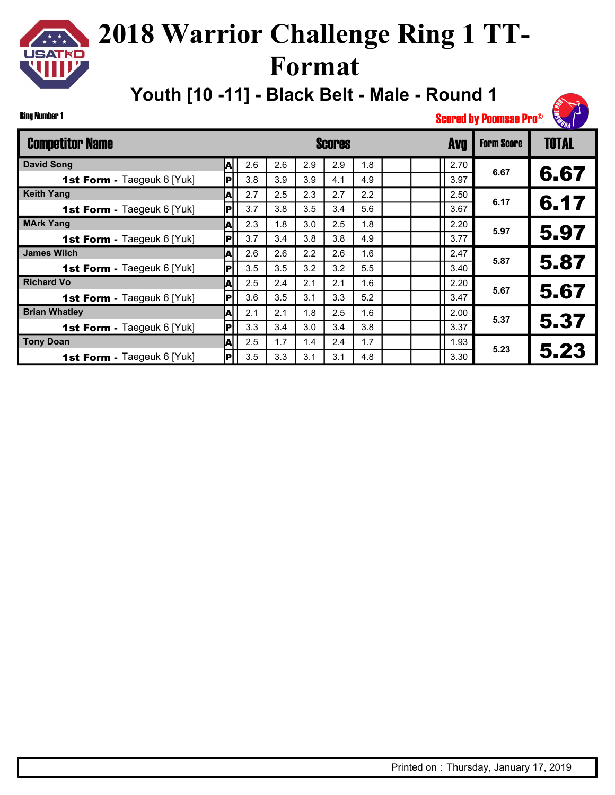# $\star \star \star$ **USATKD**

## **2018 Warrior Challenge Ring 1 TT-Format**

**Youth [10 -11] - Black Belt - Male - Round 1**



| <b>Competitor Name</b>            |     |     |     |     | <b>Scores</b> |     |  | <b>Avg</b> | <b>Form Score</b> | <b>TOTAL</b> |
|-----------------------------------|-----|-----|-----|-----|---------------|-----|--|------------|-------------------|--------------|
| <b>David Song</b>                 | A   | 2.6 | 2.6 | 2.9 | 2.9           | 1.8 |  | 2.70       |                   |              |
| 1st Form - Taegeuk 6 [Yuk]        | Þ   | 3.8 | 3.9 | 3.9 | 4.1           | 4.9 |  | 3.97       | 6.67              | 6.67         |
| <b>Keith Yang</b>                 | ΙA  | 2.7 | 2.5 | 2.3 | 2.7           | 2.2 |  | 2.50       | 6.17              |              |
| 1st Form - Taegeuk 6 [Yuk]        | IР  | 3.7 | 3.8 | 3.5 | 3.4           | 5.6 |  | 3.67       |                   | 6.17         |
| <b>MArk Yang</b>                  | A   | 2.3 | 1.8 | 3.0 | 2.5           | 1.8 |  | 2.20       | 5.97              |              |
| <b>1st Form - Taegeuk 6 [Yuk]</b> | IР  | 3.7 | 3.4 | 3.8 | 3.8           | 4.9 |  | 3.77       |                   | 5.97         |
| <b>James Wilch</b>                | A   | 2.6 | 2.6 | 2.2 | 2.6           | 1.6 |  | 2.47       | 5.87              |              |
| <b>1st Form - Taegeuk 6 [Yuk]</b> | IР  | 3.5 | 3.5 | 3.2 | 3.2           | 5.5 |  | 3.40       |                   | 5.87         |
| <b>Richard Vo</b>                 | A   | 2.5 | 2.4 | 2.1 | 2.1           | 1.6 |  | 2.20       | 5.67              |              |
| 1st Form - Taegeuk 6 [Yuk]        | IР  | 3.6 | 3.5 | 3.1 | 3.3           | 5.2 |  | 3.47       |                   | 5.67         |
| <b>Brian Whatley</b>              | ΙA  | 2.1 | 2.1 | 1.8 | 2.5           | 1.6 |  | 2.00       | 5.37              | 5.37         |
| 1st Form - Taegeuk 6 [Yuk]        | IР  | 3.3 | 3.4 | 3.0 | 3.4           | 3.8 |  | 3.37       |                   |              |
| <b>Tony Doan</b>                  | ΙA  | 2.5 | 1.7 | 1.4 | 2.4           | 1.7 |  | 1.93       | 5.23              |              |
| 1st Form - Taegeuk 6 [Yuk]        | IPI | 3.5 | 3.3 | 3.1 | 3.1           | 4.8 |  | 3.30       |                   | 5.23         |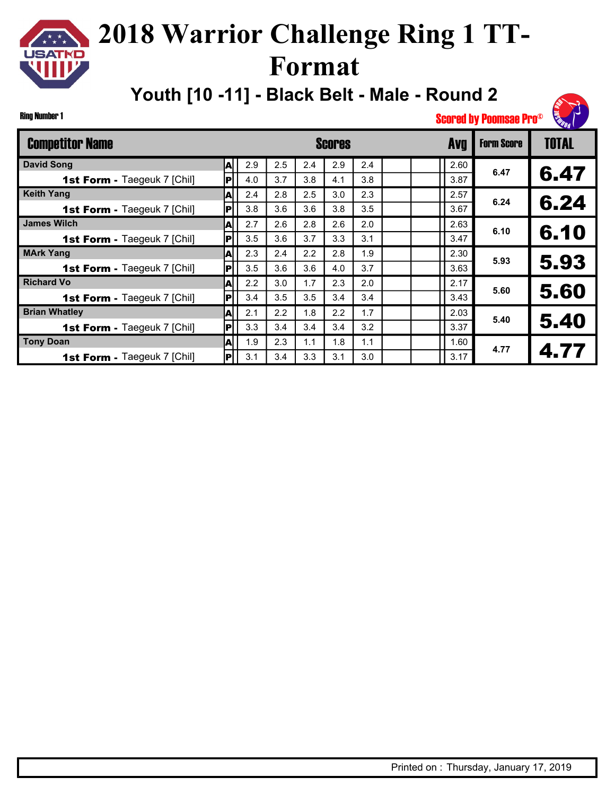# $\star \star \star$ **JSATKD**

## **2018 Warrior Challenge Ring 1 TT-Format**

**Youth [10 -11] - Black Belt - Male - Round 2**

Ring Number 1

| <b>Competitor Name</b>             |     |     |     |     | Scores |     |  | <b>Avg</b> | <b>Form Score</b> | <b>TOTAL</b> |
|------------------------------------|-----|-----|-----|-----|--------|-----|--|------------|-------------------|--------------|
| <b>David Song</b>                  | A   | 2.9 | 2.5 | 2.4 | 2.9    | 2.4 |  | 2.60       |                   |              |
| 1st Form - Taegeuk 7 [Chil]        | P   | 4.0 | 3.7 | 3.8 | 4.1    | 3.8 |  | 3.87       | 6.47              | 6.47         |
| <b>Keith Yang</b>                  | ΙAΙ | 2.4 | 2.8 | 2.5 | 3.0    | 2.3 |  | 2.57       | 6.24              |              |
| 1st Form - Taegeuk 7 [Chil]        | Þ   | 3.8 | 3.6 | 3.6 | 3.8    | 3.5 |  | 3.67       |                   | 6.24         |
| <b>James Wilch</b>                 | ΙA  | 2.7 | 2.6 | 2.8 | 2.6    | 2.0 |  | 2.63       | 6.10              |              |
| <b>1st Form - Taegeuk 7 [Chil]</b> | P   | 3.5 | 3.6 | 3.7 | 3.3    | 3.1 |  | 3.47       |                   | 6.10         |
| <b>MArk Yang</b>                   | A   | 2.3 | 2.4 | 2.2 | 2.8    | 1.9 |  | 2.30       | 5.93              |              |
| <b>1st Form - Taegeuk 7 [Chil]</b> | P   | 3.5 | 3.6 | 3.6 | 4.0    | 3.7 |  | 3.63       |                   | 5.93         |
| <b>Richard Vo</b>                  | A   | 2.2 | 3.0 | 1.7 | 2.3    | 2.0 |  | 2.17       | 5.60              | 5.60         |
| <b>1st Form - Taegeuk 7 [Chil]</b> | P   | 3.4 | 3.5 | 3.5 | 3.4    | 3.4 |  | 3.43       |                   |              |
| <b>Brian Whatley</b>               | ΙA  | 2.1 | 2.2 | 1.8 | 2.2    | 1.7 |  | 2.03       | 5.40              | 5.40         |
| <b>1st Form - Taegeuk 7 [Chil]</b> | Þ   | 3.3 | 3.4 | 3.4 | 3.4    | 3.2 |  | 3.37       |                   |              |
| <b>Tony Doan</b>                   | ΙA  | 1.9 | 2.3 | 1.1 | 1.8    | 1.1 |  | 1.60       | 4.77              | 4.77         |
| <b>1st Form - Taegeuk 7 [Chil]</b> | ΙPΙ | 3.1 | 3.4 | 3.3 | 3.1    | 3.0 |  | 3.17       |                   |              |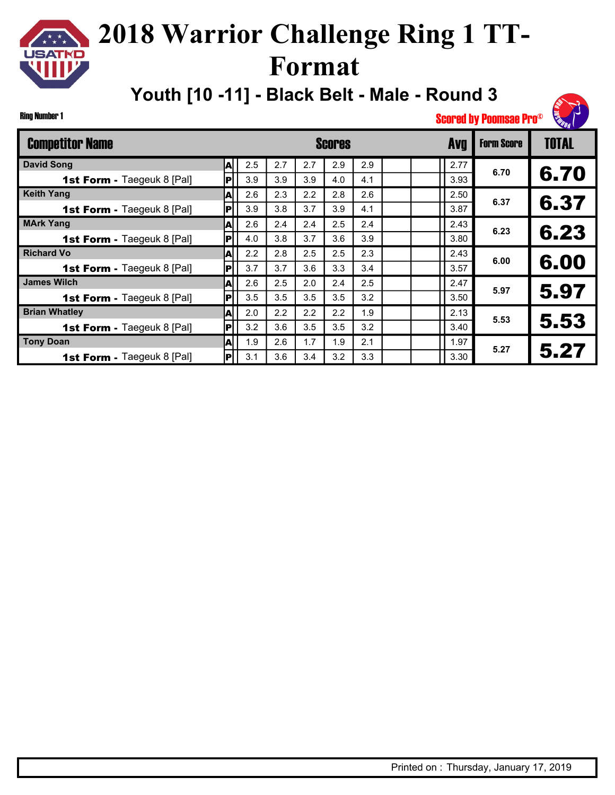# $\star \star \star$ **USATKD**

## **2018 Warrior Challenge Ring 1 TT-Format**

**Youth [10 -11] - Black Belt - Male - Round 3**

Ring Number 1

| <b>Competitor Name</b>            |     |     |     |     | Scores |     |  | <b>Avg</b> | <b>Form Score</b> | <b>TOTAL</b> |
|-----------------------------------|-----|-----|-----|-----|--------|-----|--|------------|-------------------|--------------|
| <b>David Song</b>                 | A   | 2.5 | 2.7 | 2.7 | 2.9    | 2.9 |  | 2.77       |                   |              |
| 1st Form - Taegeuk 8 [Pal]        | p   | 3.9 | 3.9 | 3.9 | 4.0    | 4.1 |  | 3.93       | 6.70              | 6.70         |
| <b>Keith Yang</b>                 | IA  | 2.6 | 2.3 | 2.2 | 2.8    | 2.6 |  | 2.50       | 6.37              |              |
| 1st Form - Taegeuk 8 [Pal]        | IР  | 3.9 | 3.8 | 3.7 | 3.9    | 4.1 |  | 3.87       |                   | 6.37         |
| <b>MArk Yang</b>                  | A   | 2.6 | 2.4 | 2.4 | 2.5    | 2.4 |  | 2.43       | 6.23              |              |
| <b>1st Form - Taegeuk 8 [Pal]</b> | IРI | 4.0 | 3.8 | 3.7 | 3.6    | 3.9 |  | 3.80       |                   | 6.23         |
| <b>Richard Vo</b>                 | A   | 2.2 | 2.8 | 2.5 | 2.5    | 2.3 |  | 2.43       | 6.00              |              |
| <b>1st Form - Taegeuk 8 [Pal]</b> | IР  | 3.7 | 3.7 | 3.6 | 3.3    | 3.4 |  | 3.57       |                   | 6.00         |
| <b>James Wilch</b>                | A   | 2.6 | 2.5 | 2.0 | 2.4    | 2.5 |  | 2.47       | 5.97              |              |
| <b>1st Form - Taegeuk 8 [Pal]</b> | IР  | 3.5 | 3.5 | 3.5 | 3.5    | 3.2 |  | 3.50       |                   | 5.97         |
| <b>Brian Whatley</b>              | A   | 2.0 | 2.2 | 2.2 | 2.2    | 1.9 |  | 2.13       | 5.53              |              |
| <b>1st Form - Taegeuk 8 [Pal]</b> | l P | 3.2 | 3.6 | 3.5 | 3.5    | 3.2 |  | 3.40       |                   | 5.53         |
| <b>Tony Doan</b>                  | ΙA  | 1.9 | 2.6 | 1.7 | 1.9    | 2.1 |  | 1.97       | 5.27              |              |
| <b>1st Form - Taegeuk 8 [Pal]</b> | IР  | 3.1 | 3.6 | 3.4 | 3.2    | 3.3 |  | 3.30       |                   | 5.27         |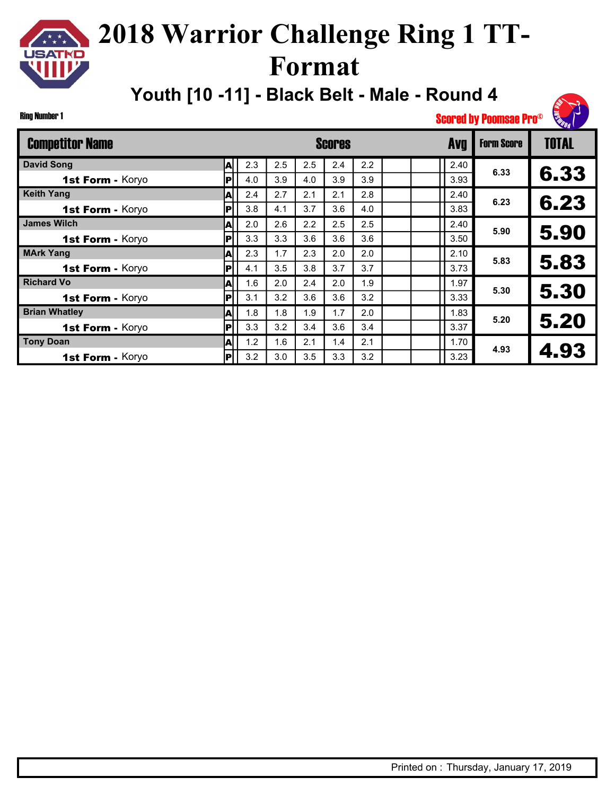# $\star \star \star$ **JSATKD**

## **2018 Warrior Challenge Ring 1 TT-Format**

**Youth [10 -11] - Black Belt - Male - Round 4**

#### Ring Number 1

| <b>Competitor Name</b> |    |     |     |     | <b>Scores</b> |     | <b>Avq</b> | <b>Form Score</b> | <b>TOTAL</b> |
|------------------------|----|-----|-----|-----|---------------|-----|------------|-------------------|--------------|
| <b>David Song</b>      | A  | 2.3 | 2.5 | 2.5 | 2.4           | 2.2 | 2.40       |                   |              |
| 1st Form - Koryo       | P  | 4.0 | 3.9 | 4.0 | 3.9           | 3.9 | 3.93       | 6.33              | 6.33         |
| <b>Keith Yang</b>      | ΙA | 2.4 | 2.7 | 2.1 | 2.1           | 2.8 | 2.40       | 6.23              |              |
| 1st Form - Koryo       | P  | 3.8 | 4.1 | 3.7 | 3.6           | 4.0 | 3.83       |                   | 6.23         |
| <b>James Wilch</b>     | A  | 2.0 | 2.6 | 2.2 | 2.5           | 2.5 | 2.40       | 5.90              |              |
| 1st Form - Koryo       | P  | 3.3 | 3.3 | 3.6 | 3.6           | 3.6 | 3.50       |                   | 5.90         |
| <b>MArk Yang</b>       | IA | 2.3 | 1.7 | 2.3 | 2.0           | 2.0 | 2.10       | 5.83              |              |
| 1st Form - Koryo       | P  | 4.1 | 3.5 | 3.8 | 3.7           | 3.7 | 3.73       |                   | 5.83         |
| <b>Richard Vo</b>      | ļΑ | 1.6 | 2.0 | 2.4 | 2.0           | 1.9 | 1.97       | 5.30              |              |
| 1st Form - Koryo       | P  | 3.1 | 3.2 | 3.6 | 3.6           | 3.2 | 3.33       |                   | 5.30         |
| <b>Brian Whatley</b>   | IA | 1.8 | 1.8 | 1.9 | 1.7           | 2.0 | 1.83       | 5.20              |              |
| 1st Form - Koryo       | P  | 3.3 | 3.2 | 3.4 | 3.6           | 3.4 | 3.37       |                   | 5.20         |
| <b>Tony Doan</b>       | IA | 1.2 | 1.6 | 2.1 | 1.4           | 2.1 | 1.70       | 4.93              |              |
| 1st Form - Koryo       | P  | 3.2 | 3.0 | 3.5 | 3.3           | 3.2 | 3.23       |                   | 4.93         |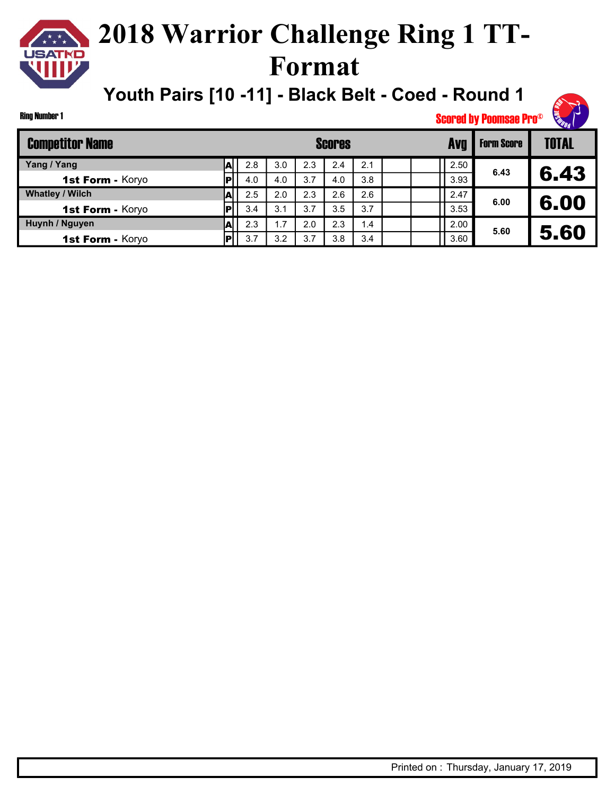# USATKD

## **2018 Warrior Challenge Ring 1 TT-Format**

**Youth Pairs [10 -11] - Black Belt - Coed - Round 1**

#### Ring Number 1

| <b>Competitor Name</b> |     |     |     | <b>Scores</b> |     |      | <b>Form Score</b> | <b>TOTAL</b> |
|------------------------|-----|-----|-----|---------------|-----|------|-------------------|--------------|
| Yang / Yang            | 2.8 | 3.0 | 2.3 | 2.4           | 2.1 | 2.50 |                   |              |
| 1st Form - Koryo       | 4.0 | 4.0 | 3.7 | 4.0           | 3.8 | 3.93 | 6.43              | 6.43         |
| <b>Whatley / Wilch</b> | 2.5 | 2.0 | 2.3 | 2.6           | 2.6 | 2.47 | 6.00              |              |
| 1st Form - Koryo       | 3.4 | 3.1 | 3.7 | 3.5           | 3.7 | 3.53 |                   | 6.00         |
| Huynh / Nguyen         | 2.3 | .7  | 2.0 | 2.3           | 1.4 | 2.00 | 5.60              |              |
| 1st Form - Koryo       | 3.7 | 3.2 | 3.7 | 3.8           | 3.4 | 3.60 |                   | 5.60         |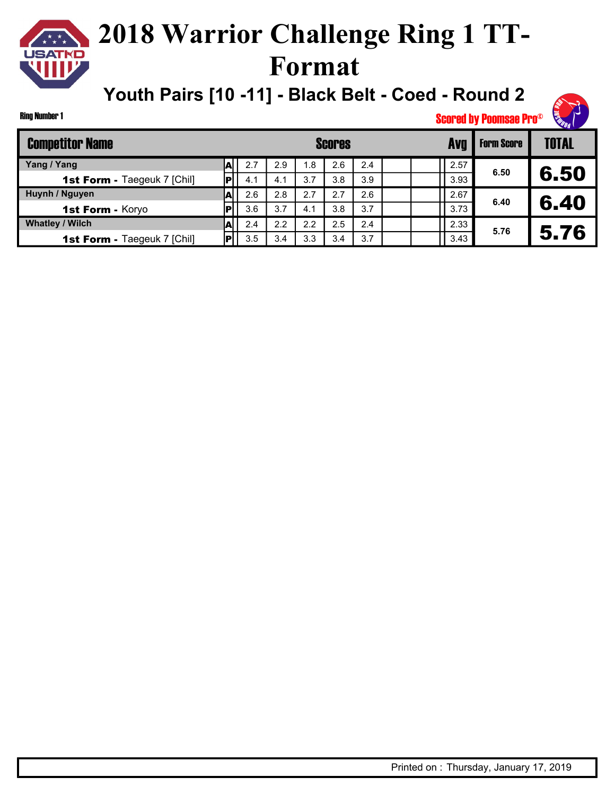# **USATKD**

## **2018 Warrior Challenge Ring 1 TT-Format**

**Youth Pairs [10 -11] - Black Belt - Coed - Round 2**

#### Ring Number 1

| <b>Competitor Name</b>             |    |     |     |     | <b>Scores</b> |     |      | <b>Form Score</b> | <b>TOTAL</b> |
|------------------------------------|----|-----|-----|-----|---------------|-----|------|-------------------|--------------|
| Yang / Yang                        | AI | 2.7 | 2.9 | 8.، | 2.6           | 2.4 | 2.57 |                   |              |
| <b>1st Form - Taegeuk 7 [Chil]</b> |    | 4.1 | 4.1 | 3.7 | 3.8           | 3.9 | 3.93 | 6.50              | 6.50         |
| Huynh / Nguyen                     |    | 2.6 | 2.8 | 2.7 | 2.7           | 2.6 | 2.67 | 6.40              |              |
| 1st Form - Koryo                   |    | 3.6 | 3.7 | 4.1 | 3.8           | 3.7 | 3.73 |                   | 6.40         |
| <b>Whatley / Wilch</b>             | A  | 2.4 | 2.2 | 2.2 | 2.5           | 2.4 | 2.33 | 5.76              |              |
| <b>1st Form - Taegeuk 7 [Chil]</b> |    | 3.5 | 3.4 | 3.3 | 3.4           | 3.7 | 3.43 |                   | 5.76         |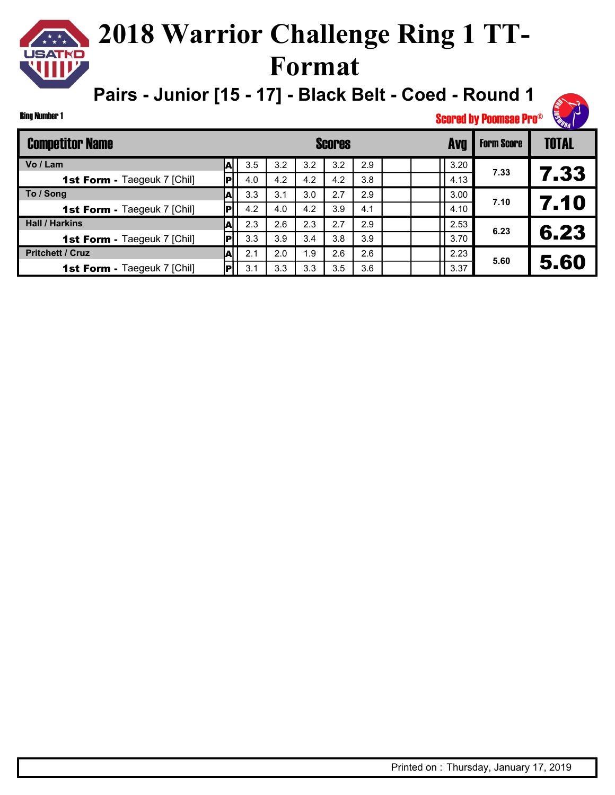### **2018 Warrior Challenge Ring 1 TT-USATKD Format**

**Pairs - Junior [15 - 17] - Black Belt - Coed - Round 1**

| Ring Number 1 |  |
|---------------|--|
|               |  |

 $\star \star \star$ 

| <b>Competitor Name</b>             |      |     |     |      | <b>Scores</b> |     |  | <b>Avq</b> | <b>Form Score</b> | <b>TOTAL</b> |
|------------------------------------|------|-----|-----|------|---------------|-----|--|------------|-------------------|--------------|
| Vo / Lam                           | Al   | 3.5 | 3.2 | 3.2  | 3.2           | 2.9 |  | 3.20       |                   |              |
| <b>1st Form - Taegeuk 7 [Chil]</b> | l Pl | 4.0 | 4.2 | 4.2  | 4.2           | 3.8 |  | 4.13       | 7.33              | 7.33         |
| To / Song                          | A    | 3.3 | 3.1 | 3.0  | 2.7           | 2.9 |  | 3.00       | 7.10              |              |
| 1st Form - Taegeuk 7 [Chil]        |      | 4.2 | 4.0 | 4.2  | 3.9           | 4.1 |  | 4.10       |                   | 7.10         |
| <b>Hall / Harkins</b>              | A    | 2.3 | 2.6 | 2.3  | 2.7           | 2.9 |  | 2.53       | 6.23              |              |
| <b>1st Form - Taegeuk 7 [Chil]</b> |      | 3.3 | 3.9 | 3.4  | 3.8           | 3.9 |  | 3.70       |                   | 6.23         |
| <b>Pritchett / Cruz</b>            | A    | 2.1 | 2.0 | 9. ا | 2.6           | 2.6 |  | 2.23       | 5.60              |              |
| <b>1st Form - Taegeuk 7 [Chil]</b> |      | 3.1 | 3.3 | 3.3  | 3.5           | 3.6 |  | 3.37       |                   | 5.60         |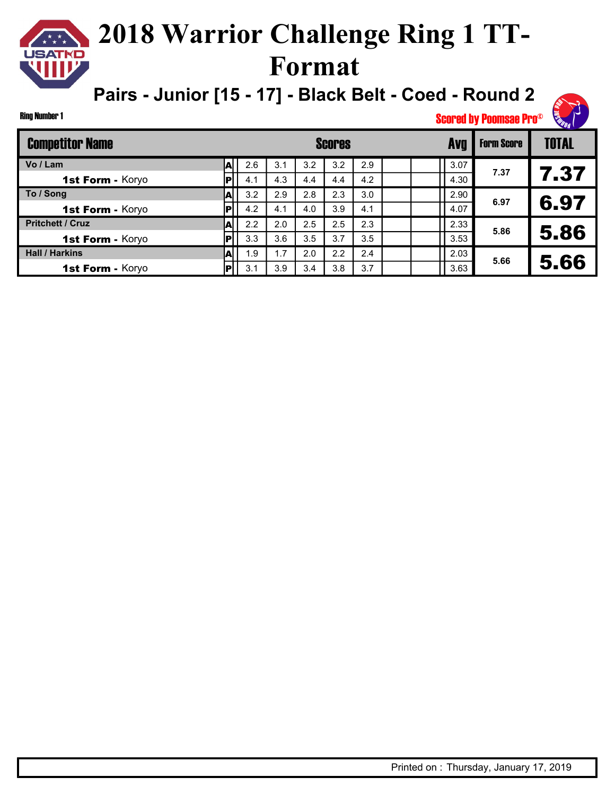### **2018 Warrior Challenge Ring 1 TT-JSATKD Format**

**Pairs - Junior [15 - 17] - Black Belt - Coed - Round 2**

#### Ring Number 1

| <b>Competitor Name</b>  |     |     |     |     | <b>Scores</b> |     |  | <b>Avg</b> | <b>Form Score</b> | <b>TOTAL</b> |
|-------------------------|-----|-----|-----|-----|---------------|-----|--|------------|-------------------|--------------|
| Vo / Lam                |     | 2.6 | 3.1 | 3.2 | 3.2           | 2.9 |  | 3.07       | 7.37              |              |
| 1st Form - Koryo        | IР  | 4.1 | 4.3 | 4.4 | 4.4           | 4.2 |  | 4.30       |                   | 7.37         |
| To / Song               | A   | 3.2 | 2.9 | 2.8 | 2.3           | 3.0 |  | 2.90       | 6.97              |              |
| 1st Form - Koryo        | Þ   | 4.2 | 4.1 | 4.0 | 3.9           | 4.1 |  | 4.07       |                   | 6.97         |
| <b>Pritchett / Cruz</b> |     | 2.2 | 2.0 | 2.5 | 2.5           | 2.3 |  | 2.33       | 5.86              |              |
| 1st Form - Koryo        |     | 3.3 | 3.6 | 3.5 | 3.7           | 3.5 |  | 3.53       |                   | 5.86         |
| <b>Hall / Harkins</b>   |     | 1.9 | 1.7 | 2.0 | 2.2           | 2.4 |  | 2.03       | 5.66              |              |
| 1st Form - Koryo        | Iвl | 3.1 | 3.9 | 3.4 | 3.8           | 3.7 |  | 3.63       |                   | 5.66         |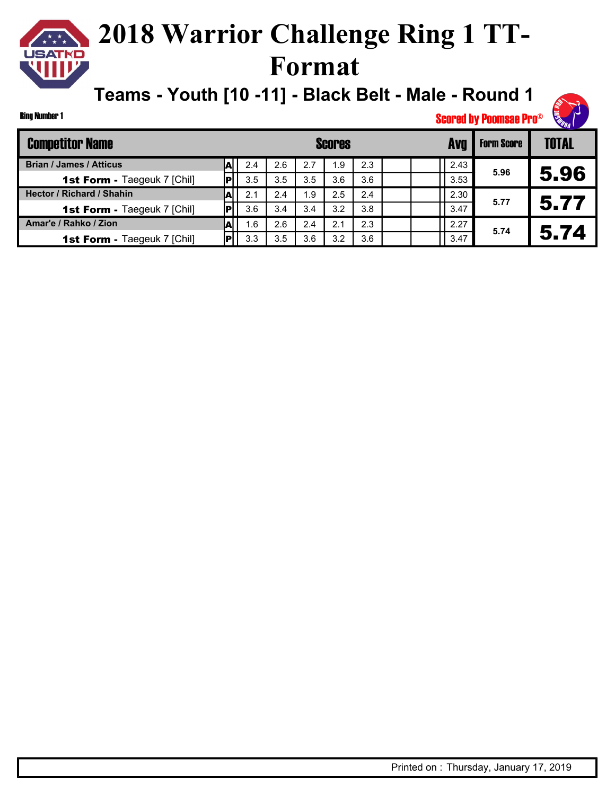#### **2018 Warrior Challenge Ring 1 TT-JSATKD Format**

**Teams - Youth [10 -11] - Black Belt - Male - Round 1**

#### Ring Number 1

| <b>Competitor Name</b>             |   |     |     |     | <b>Scores</b> |     |  |      | <b>Form Score</b> | <b>TOTAL</b> |
|------------------------------------|---|-----|-----|-----|---------------|-----|--|------|-------------------|--------------|
| <b>Brian / James / Atticus</b>     |   | 2.4 | 2.6 | 2.7 | 1.9           | 2.3 |  | 2.43 | 5.96              |              |
| <b>1st Form - Taegeuk 7 [Chil]</b> |   | 3.5 | 3.5 | 3.5 | 3.6           | 3.6 |  | 3.53 |                   | 5.96         |
| <b>Hector / Richard / Shahin</b>   | A | 2.1 | 2.4 | 9.، | 2.5           | 2.4 |  | 2.30 | 5.77              |              |
| <b>1st Form - Taegeuk 7 [Chil]</b> |   | 3.6 | 3.4 | 3.4 | 3.2           | 3.8 |  | 3.47 |                   | 5.77         |
| Amar'e / Rahko / Zion              |   | 1.6 | 2.6 | 2.4 | 2.1           | 2.3 |  | 2.27 | 5.74              |              |
| <b>1st Form - Taegeuk 7 [Chil]</b> |   | 3.3 | 3.5 | 3.6 | 3.2           | 3.6 |  | 3.47 |                   | 5.74         |

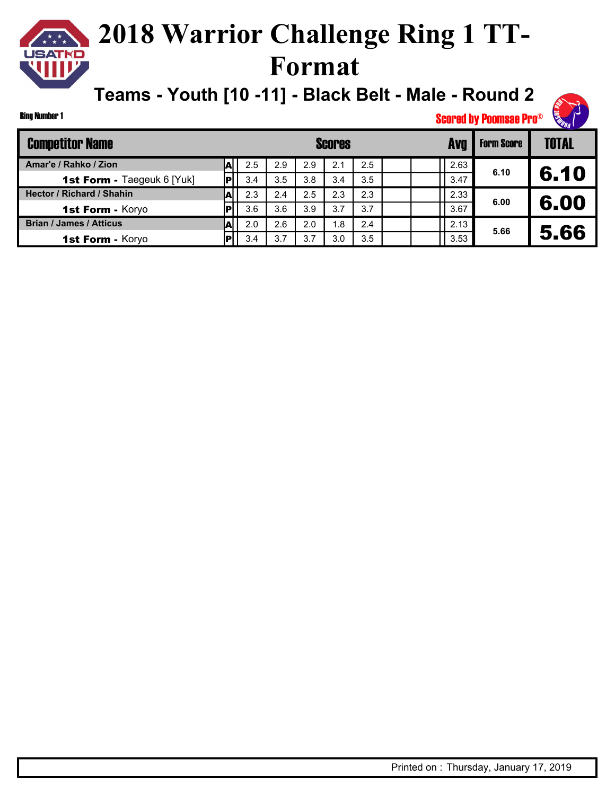### **2018 Warrior Challenge Ring 1 TT-JSATKD Format**

**Teams - Youth [10 -11] - Black Belt - Male - Round 2**

#### Ring Number 1

| <b>Competitor Name</b>            |     |     |     | <b>Scores</b> |     |      | <b>Form Score</b> | TOTAL |
|-----------------------------------|-----|-----|-----|---------------|-----|------|-------------------|-------|
| Amar'e / Rahko / Zion             | 2.5 | 2.9 | 2.9 | 2.1           | 2.5 | 2.63 | 6.10              |       |
| <b>1st Form - Taegeuk 6 [Yuk]</b> | 3.4 | 3.5 | 3.8 | 3.4           | 3.5 | 3.47 |                   | 6.10  |
| <b>Hector / Richard / Shahin</b>  | 2.3 | 2.4 | 2.5 | 2.3           | 2.3 | 2.33 | 6.00              |       |
| 1st Form - Koryo                  | 3.6 | 3.6 | 3.9 | 3.7           | 3.7 | 3.67 |                   | 6.00  |
| <b>Brian / James / Atticus</b>    | 2.0 | 2.6 | 2.0 | 1.8           | 2.4 | 2.13 | 5.66              |       |
| 1st Form - Koryo                  | 3.4 | 3.7 | 3.7 | 3.0           | 3.5 | 3.53 |                   | 5.66  |

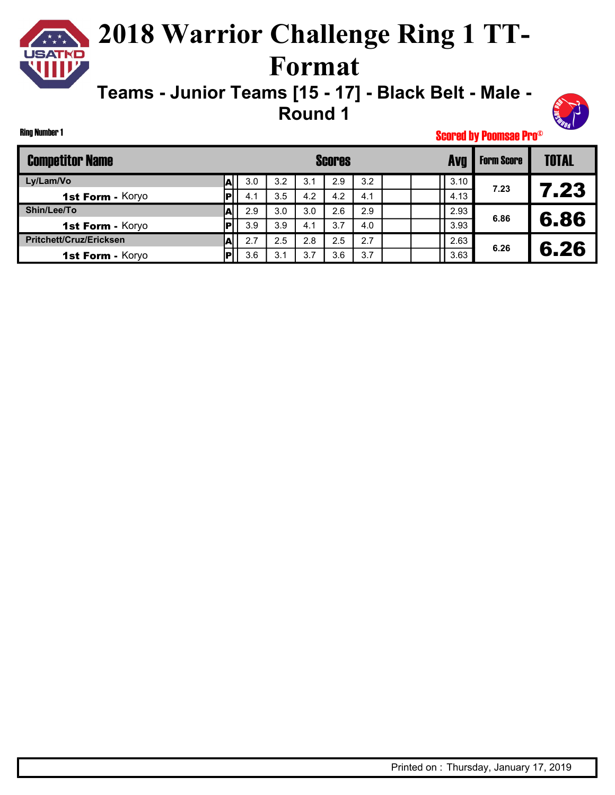### **2018 Warrior Challenge Ring 1 TT-**USATKD **Format**

**Teams - Junior Teams [15 - 17] - Black Belt - Male - Round 1**



Scored by Poomsae Pro©

| <b>Competitor Name</b>         |    |     |     |     | <b>Scores</b> |     |  | Avg  | <b>Form Score</b> | <b>TOTAL</b> |
|--------------------------------|----|-----|-----|-----|---------------|-----|--|------|-------------------|--------------|
| Ly/Lam/Vo                      |    | 3.0 | 3.2 | 3.1 | 2.9           | 3.2 |  | 3.10 | 7.23              |              |
| 1st Form - Koryo               | РI | 4.1 | 3.5 | 4.2 | 4.2           | 4.1 |  | 4.13 |                   | 7.23         |
| Shin/Lee/To                    |    | 2.9 | 3.0 | 3.0 | 2.6           | 2.9 |  | 2.93 | 6.86              |              |
| 1st Form - Koryo               |    | 3.9 | 3.9 | 4.1 | 3.7           | 4.0 |  | 3.93 |                   | 6.86         |
| <b>Pritchett/Cruz/Ericksen</b> |    | 2.7 | 2.5 | 2.8 | 2.5           | 2.7 |  | 2.63 | 6.26              |              |
| 1st Form - Koryo               |    | 3.6 | 3.1 | 3.7 | 3.6           | 3.7 |  | 3.63 |                   | 6.26         |

Ring Number 1

 $\star \star \star$